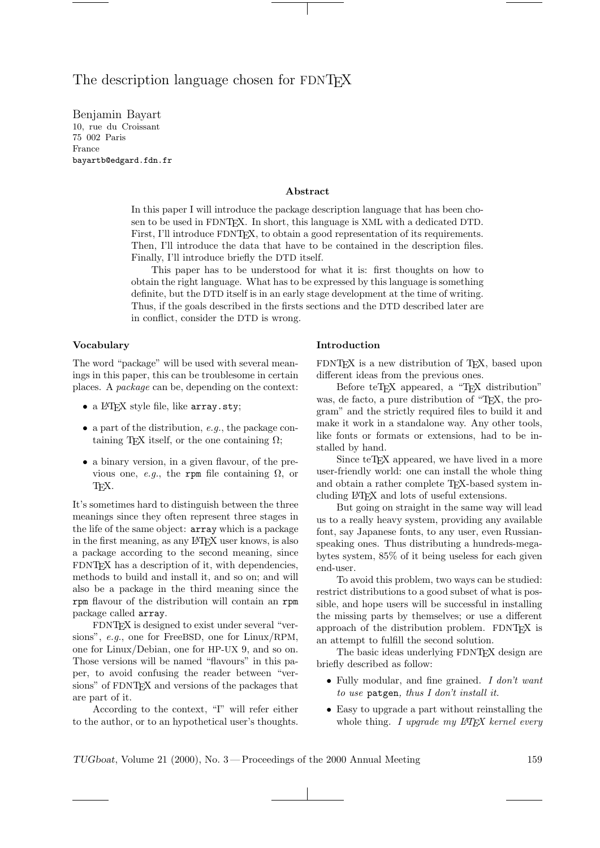# The description language chosen for FDNT<sub>EX</sub>

Benjamin Bayart 10, rue du Croissant 75 002 Paris France bayartb@edgard.fdn.fr

#### Abstract

In this paper I will introduce the package description language that has been chosen to be used in FDNTEX. In short, this language is XML with a dedicated DTD. First, I'll introduce FDNT<sub>EX</sub>, to obtain a good representation of its requirements. Then, I'll introduce the data that have to be contained in the description files. Finally, I'll introduce briefly the DTD itself.

This paper has to be understood for what it is: first thoughts on how to obtain the right language. What has to be expressed by this language is something definite, but the DTD itself is in an early stage development at the time of writing. Thus, if the goals described in the firsts sections and the DTD described later are in conflict, consider the DTD is wrong.

#### Vocabulary

The word "package" will be used with several meanings in this paper, this can be troublesome in certain places. A package can be, depending on the context:

- a L<sup>AT</sup>FX style file, like array.sty;
- a part of the distribution,  $e.g.,$  the package containing T<sub>EX</sub> itself, or the one containing  $\Omega$ ;
- a binary version, in a given flavour, of the previous one, e.g., the rpm file containing  $\Omega$ , or T<sub>F</sub>X.

It's sometimes hard to distinguish between the three meanings since they often represent three stages in the life of the same object: array which is a package in the first meaning, as any LATEX user knows, is also a package according to the second meaning, since FDNT<sub>F</sub>X has a description of it, with dependencies, methods to build and install it, and so on; and will also be a package in the third meaning since the rpm flavour of the distribution will contain an rpm package called array.

FDNTEX is designed to exist under several "versions", e.g., one for FreeBSD, one for Linux/RPM, one for Linux/Debian, one for HP-UX 9, and so on. Those versions will be named "flavours" in this paper, to avoid confusing the reader between "versions" of FDNTEX and versions of the packages that are part of it.

According to the context, "I" will refer either to the author, or to an hypothetical user's thoughts.

#### Introduction

FDNT<sub>EX</sub> is a new distribution of T<sub>EX</sub>, based upon different ideas from the previous ones.

Before teT<sub>EX</sub> appeared, a "T<sub>EX</sub> distribution" was, de facto, a pure distribution of "T<sub>E</sub>X, the program" and the strictly required files to build it and make it work in a standalone way. Any other tools, like fonts or formats or extensions, had to be installed by hand.

Since teT<sub>F</sub>X appeared, we have lived in a more user-friendly world: one can install the whole thing and obtain a rather complete TEX-based system including LATEX and lots of useful extensions.

But going on straight in the same way will lead us to a really heavy system, providing any available font, say Japanese fonts, to any user, even Russianspeaking ones. Thus distributing a hundreds-megabytes system, 85% of it being useless for each given end-user.

To avoid this problem, two ways can be studied: restrict distributions to a good subset of what is possible, and hope users will be successful in installing the missing parts by themselves; or use a different approach of the distribution problem. FDNTFX is an attempt to fulfill the second solution.

The basic ideas underlying FDNTEX design are briefly described as follow:

- Fully modular, and fine grained. I don't want to use patgen, thus I don't install it.
- Easy to upgrade a part without reinstalling the whole thing. I upgrade my  $L^4T$ FX kernel every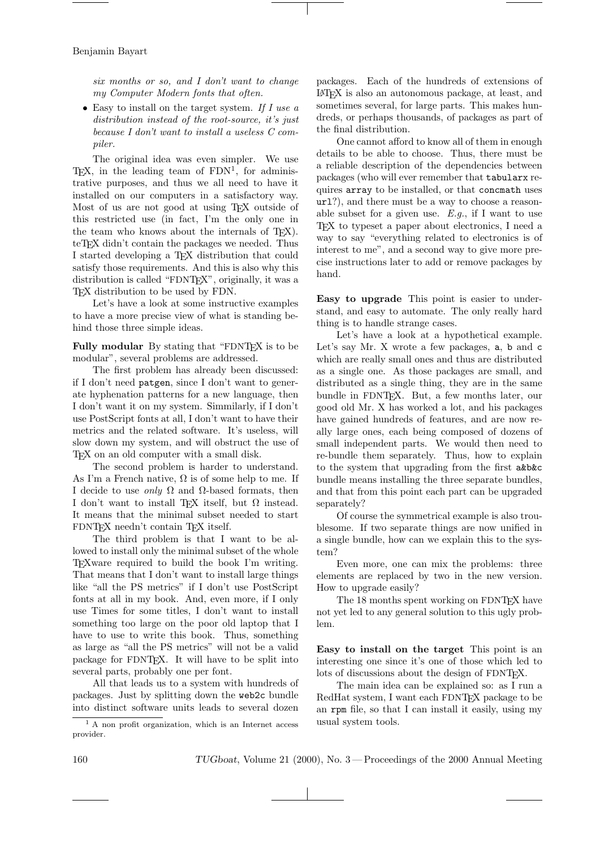six months or so, and I don't want to change my Computer Modern fonts that often.

• Easy to install on the target system. If I use  $a$ distribution instead of the root-source, it's just because I don't want to install a useless C compiler.

The original idea was even simpler. We use  $T_{\text{E}}X$ , in the leading team of  $\text{FDN}^1$ , for administrative purposes, and thus we all need to have it installed on our computers in a satisfactory way. Most of us are not good at using TEX outside of this restricted use (in fact, I'm the only one in the team who knows about the internals of TEX). teT<sub>E</sub>X didn't contain the packages we needed. Thus I started developing a TEX distribution that could satisfy those requirements. And this is also why this distribution is called "FDNTEX", originally, it was a TEX distribution to be used by FDN.

Let's have a look at some instructive examples to have a more precise view of what is standing behind those three simple ideas.

Fully modular By stating that "FDNT<sub>E</sub>X is to be modular", several problems are addressed.

The first problem has already been discussed: if I don't need patgen, since I don't want to generate hyphenation patterns for a new language, then I don't want it on my system. Simmilarly, if I don't use PostScript fonts at all, I don't want to have their metrics and the related software. It's useless, will slow down my system, and will obstruct the use of TEX on an old computer with a small disk.

The second problem is harder to understand. As I'm a French native,  $\Omega$  is of some help to me. If I decide to use *only* Ω and Ω-based formats, then I don't want to install T<sub>EX</sub> itself, but  $\Omega$  instead. It means that the minimal subset needed to start FDNTFX needn't contain TFX itself.

The third problem is that I want to be allowed to install only the minimal subset of the whole TEXware required to build the book I'm writing. That means that I don't want to install large things like "all the PS metrics" if I don't use PostScript fonts at all in my book. And, even more, if I only use Times for some titles, I don't want to install something too large on the poor old laptop that I have to use to write this book. Thus, something as large as "all the PS metrics" will not be a valid package for FDNTEX. It will have to be split into several parts, probably one per font.

All that leads us to a system with hundreds of packages. Just by splitting down the web2c bundle into distinct software units leads to several dozen

<sup>1</sup> A non profit organization, which is an Internet access provider.

packages. Each of the hundreds of extensions of LATEX is also an autonomous package, at least, and sometimes several, for large parts. This makes hundreds, or perhaps thousands, of packages as part of the final distribution.

One cannot afford to know all of them in enough details to be able to choose. Thus, there must be a reliable description of the dependencies between packages (who will ever remember that tabularx requires array to be installed, or that concmath uses url?), and there must be a way to choose a reasonable subset for a given use.  $E.g.,$  if I want to use T<sub>EX</sub> to typeset a paper about electronics, I need a way to say "everything related to electronics is of interest to me", and a second way to give more precise instructions later to add or remove packages by hand.

Easy to upgrade This point is easier to understand, and easy to automate. The only really hard thing is to handle strange cases.

Let's have a look at a hypothetical example. Let's say Mr. X wrote a few packages, a, b and c which are really small ones and thus are distributed as a single one. As those packages are small, and distributed as a single thing, they are in the same bundle in FDNTEX. But, a few months later, our good old Mr. X has worked a lot, and his packages have gained hundreds of features, and are now really large ones, each being composed of dozens of small independent parts. We would then need to re-bundle them separately. Thus, how to explain to the system that upgrading from the first a&b&c bundle means installing the three separate bundles, and that from this point each part can be upgraded separately?

Of course the symmetrical example is also troublesome. If two separate things are now unified in a single bundle, how can we explain this to the system?

Even more, one can mix the problems: three elements are replaced by two in the new version. How to upgrade easily?

The 18 months spent working on FDNTEX have not yet led to any general solution to this ugly problem.

Easy to install on the target This point is an interesting one since it's one of those which led to lots of discussions about the design of FDNT<sub>EX</sub>.

The main idea can be explained so: as I run a RedHat system, I want each FDNTEX package to be an rpm file, so that I can install it easily, using my usual system tools.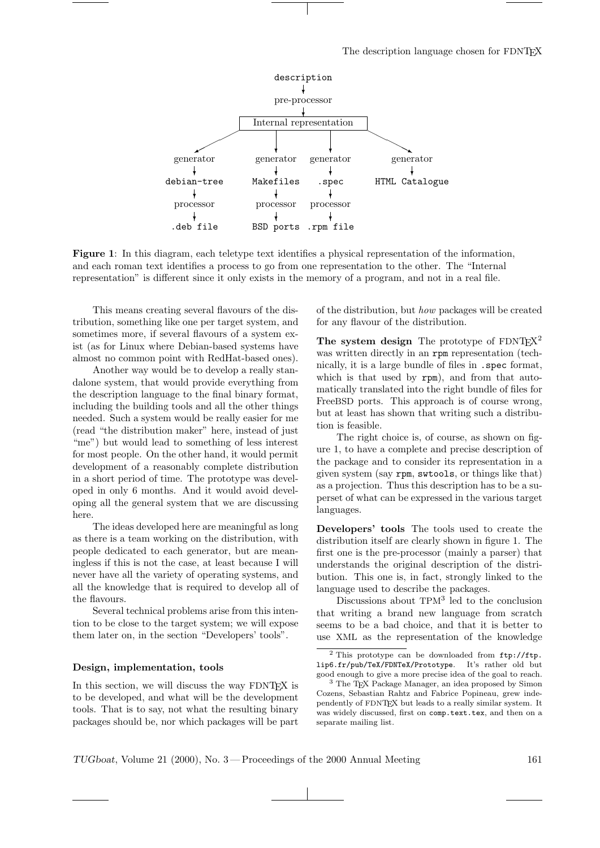#### The description language chosen for FDNT<sub>EX</sub>



Figure 1: In this diagram, each teletype text identifies a physical representation of the information, and each roman text identifies a process to go from one representation to the other. The "Internal representation" is different since it only exists in the memory of a program, and not in a real file.

This means creating several flavours of the distribution, something like one per target system, and sometimes more, if several flavours of a system exist (as for Linux where Debian-based systems have almost no common point with RedHat-based ones).

Another way would be to develop a really standalone system, that would provide everything from the description language to the final binary format, including the building tools and all the other things needed. Such a system would be really easier for me (read "the distribution maker" here, instead of just "me") but would lead to something of less interest for most people. On the other hand, it would permit development of a reasonably complete distribution in a short period of time. The prototype was developed in only 6 months. And it would avoid developing all the general system that we are discussing here.

The ideas developed here are meaningful as long as there is a team working on the distribution, with people dedicated to each generator, but are meaningless if this is not the case, at least because I will never have all the variety of operating systems, and all the knowledge that is required to develop all of the flavours.

Several technical problems arise from this intention to be close to the target system; we will expose them later on, in the section "Developers' tools".

#### Design, implementation, tools

In this section, we will discuss the way FDNT<sub>EX</sub> is to be developed, and what will be the development tools. That is to say, not what the resulting binary packages should be, nor which packages will be part

of the distribution, but how packages will be created for any flavour of the distribution.

The system design The prototype of  $FDNT_FX^2$ was written directly in an rpm representation (technically, it is a large bundle of files in .spec format, which is that used by rpm), and from that automatically translated into the right bundle of files for FreeBSD ports. This approach is of course wrong, but at least has shown that writing such a distribution is feasible.

The right choice is, of course, as shown on figure 1, to have a complete and precise description of the package and to consider its representation in a given system (say rpm, swtools, or things like that) as a projection. Thus this description has to be a superset of what can be expressed in the various target languages.

Developers' tools The tools used to create the distribution itself are clearly shown in figure 1. The first one is the pre-processor (mainly a parser) that understands the original description of the distribution. This one is, in fact, strongly linked to the language used to describe the packages.

Discussions about TPM<sup>3</sup> led to the conclusion that writing a brand new language from scratch seems to be a bad choice, and that it is better to use XML as the representation of the knowledge

 $2$  This prototype can be downloaded from  $ftp://ftp.$ lip6.fr/pub/TeX/FDNTeX/Prototype. It's rather old but good enough to give a more precise idea of the goal to reach.

<sup>&</sup>lt;sup>3</sup> The T<sub>E</sub>X Package Manager, an idea proposed by Simon Cozens, Sebastian Rahtz and Fabrice Popineau, grew independently of FDNTEX but leads to a really similar system. It was widely discussed, first on comp.text.tex, and then on a separate mailing list.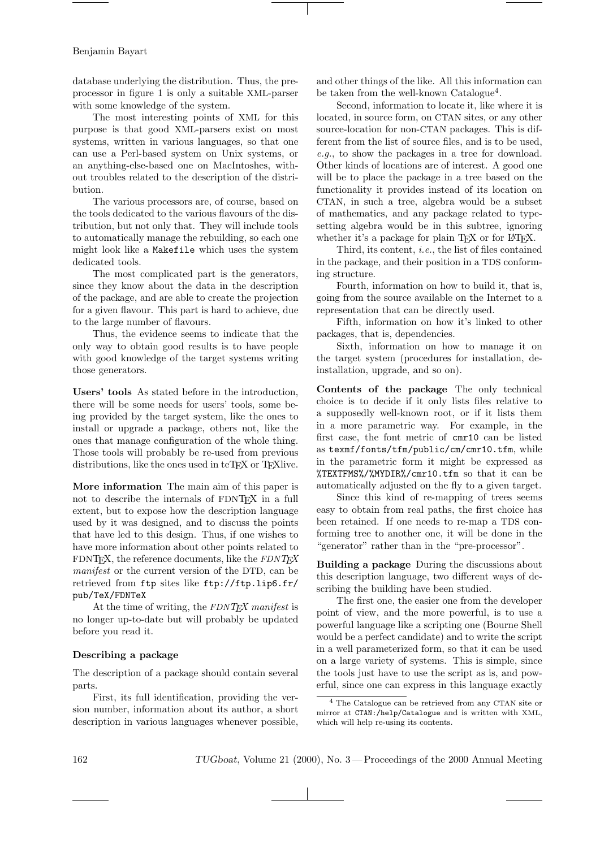database underlying the distribution. Thus, the preprocessor in figure 1 is only a suitable XML-parser with some knowledge of the system.

The most interesting points of XML for this purpose is that good XML-parsers exist on most systems, written in various languages, so that one can use a Perl-based system on Unix systems, or an anything-else-based one on MacIntoshes, without troubles related to the description of the distribution.

The various processors are, of course, based on the tools dedicated to the various flavours of the distribution, but not only that. They will include tools to automatically manage the rebuilding, so each one might look like a Makefile which uses the system dedicated tools.

The most complicated part is the generators, since they know about the data in the description of the package, and are able to create the projection for a given flavour. This part is hard to achieve, due to the large number of flavours.

Thus, the evidence seems to indicate that the only way to obtain good results is to have people with good knowledge of the target systems writing those generators.

Users' tools As stated before in the introduction, there will be some needs for users' tools, some being provided by the target system, like the ones to install or upgrade a package, others not, like the ones that manage configuration of the whole thing. Those tools will probably be re-used from previous distributions, like the ones used in teT<sub>E</sub>X or T<sub>E</sub>X live.

More information The main aim of this paper is not to describe the internals of FDNTEX in a full extent, but to expose how the description language used by it was designed, and to discuss the points that have led to this design. Thus, if one wishes to have more information about other points related to FDNT<sub>F</sub>X, the reference documents, like the  $FDNT_FX$ manifest or the current version of the DTD, can be retrieved from ftp sites like ftp://ftp.lip6.fr/ pub/TeX/FDNTeX

At the time of writing, the FDNT<sub>EX</sub> manifest is no longer up-to-date but will probably be updated before you read it.

## Describing a package

The description of a package should contain several parts.

First, its full identification, providing the version number, information about its author, a short description in various languages whenever possible, and other things of the like. All this information can be taken from the well-known Catalogue<sup>4</sup>.

Second, information to locate it, like where it is located, in source form, on CTAN sites, or any other source-location for non-CTAN packages. This is different from the list of source files, and is to be used, e.g., to show the packages in a tree for download. Other kinds of locations are of interest. A good one will be to place the package in a tree based on the functionality it provides instead of its location on CTAN, in such a tree, algebra would be a subset of mathematics, and any package related to typesetting algebra would be in this subtree, ignoring whether it's a package for plain TFX or for L<sup>AT</sup>FX.

Third, its content, i.e., the list of files contained in the package, and their position in a TDS conforming structure.

Fourth, information on how to build it, that is, going from the source available on the Internet to a representation that can be directly used.

Fifth, information on how it's linked to other packages, that is, dependencies.

Sixth, information on how to manage it on the target system (procedures for installation, deinstallation, upgrade, and so on).

Contents of the package The only technical choice is to decide if it only lists files relative to a supposedly well-known root, or if it lists them in a more parametric way. For example, in the first case, the font metric of cmr10 can be listed as texmf/fonts/tfm/public/cm/cmr10.tfm, while in the parametric form it might be expressed as %TEXTFMS%/%MYDIR%/cmr10.tfm so that it can be automatically adjusted on the fly to a given target.

Since this kind of re-mapping of trees seems easy to obtain from real paths, the first choice has been retained. If one needs to re-map a TDS conforming tree to another one, it will be done in the "generator" rather than in the "pre-processor".

Building a package During the discussions about this description language, two different ways of describing the building have been studied.

The first one, the easier one from the developer point of view, and the more powerful, is to use a powerful language like a scripting one (Bourne Shell would be a perfect candidate) and to write the script in a well parameterized form, so that it can be used on a large variety of systems. This is simple, since the tools just have to use the script as is, and powerful, since one can express in this language exactly

<sup>4</sup> The Catalogue can be retrieved from any CTAN site or mirror at CTAN:/help/Catalogue and is written with XML, which will help re-using its contents.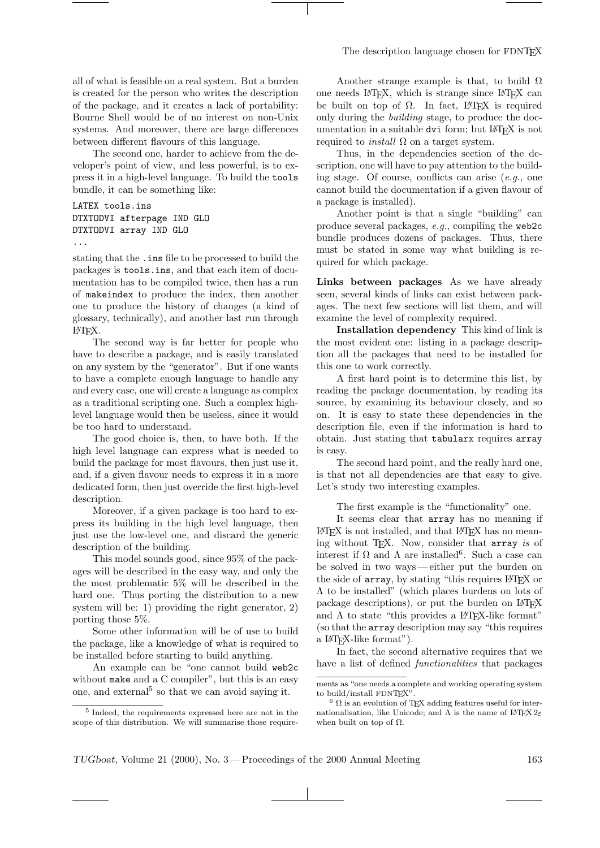all of what is feasible on a real system. But a burden is created for the person who writes the description of the package, and it creates a lack of portability: Bourne Shell would be of no interest on non-Unix systems. And moreover, there are large differences between different flavours of this language.

The second one, harder to achieve from the developer's point of view, and less powerful, is to express it in a high-level language. To build the tools bundle, it can be something like:

```
LATEX tools.ins
DTXTODVI afterpage IND GLO
DTXTODVI array IND GLO
```
...

stating that the .ins file to be processed to build the packages is tools.ins, and that each item of documentation has to be compiled twice, then has a run of makeindex to produce the index, then another one to produce the history of changes (a kind of glossary, technically), and another last run through LATEX.

The second way is far better for people who have to describe a package, and is easily translated on any system by the "generator". But if one wants to have a complete enough language to handle any and every case, one will create a language as complex as a traditional scripting one. Such a complex highlevel language would then be useless, since it would be too hard to understand.

The good choice is, then, to have both. If the high level language can express what is needed to build the package for most flavours, then just use it, and, if a given flavour needs to express it in a more dedicated form, then just override the first high-level description.

Moreover, if a given package is too hard to express its building in the high level language, then just use the low-level one, and discard the generic description of the building.

This model sounds good, since 95% of the packages will be described in the easy way, and only the the most problematic 5% will be described in the hard one. Thus porting the distribution to a new system will be: 1) providing the right generator, 2) porting those 5%.

Some other information will be of use to build the package, like a knowledge of what is required to be installed before starting to build anything.

An example can be "one cannot build web2c without make and a C compiler", but this is an easy one, and external<sup>5</sup> so that we can avoid saying it.

Another strange example is that, to build  $\Omega$ one needs LAT<sub>E</sub>X, which is strange since LAT<sub>E</sub>X can be built on top of  $\Omega$ . In fact, L<sup>AT</sup>FX is required only during the building stage, to produce the documentation in a suitable dvi form; but LATEX is not required to *install*  $\Omega$  on a target system.

Thus, in the dependencies section of the description, one will have to pay attention to the building stage. Of course, conflicts can arise  $(e.g.,)$  one cannot build the documentation if a given flavour of a package is installed).

Another point is that a single "building" can produce several packages, e.g., compiling the web2c bundle produces dozens of packages. Thus, there must be stated in some way what building is required for which package.

Links between packages As we have already seen, several kinds of links can exist between packages. The next few sections will list them, and will examine the level of complexity required.

Installation dependency This kind of link is the most evident one: listing in a package description all the packages that need to be installed for this one to work correctly.

A first hard point is to determine this list, by reading the package documentation, by reading its source, by examining its behaviour closely, and so on. It is easy to state these dependencies in the description file, even if the information is hard to obtain. Just stating that tabularx requires array is easy.

The second hard point, and the really hard one, is that not all dependencies are that easy to give. Let's study two interesting examples.

The first example is the "functionality" one.

It seems clear that array has no meaning if LATEX is not installed, and that LATEX has no meaning without TEX. Now, consider that array is of interest if  $\Omega$  and  $\Lambda$  are installed<sup>6</sup>. Such a case can be solved in two ways — either put the burden on the side of array, by stating "this requires LATEX or Λ to be installed" (which places burdens on lots of package descriptions), or put the burden on LATEX and  $\Lambda$  to state "this provides a LAT<sub>EX</sub>-like format" (so that the array description may say "this requires a LATEX-like format").

In fact, the second alternative requires that we have a list of defined *functionalities* that packages

<sup>5</sup> Indeed, the requirements expressed here are not in the scope of this distribution. We will summarise those require-

ments as "one needs a complete and working operating system to build/install FDNTFX"

 $6 \Omega$  is an evolution of TEX adding features useful for internationalisation, like Unicode; and  $\Lambda$  is the name of LATEX  $2\varepsilon$ when built on top of  $\Omega$ .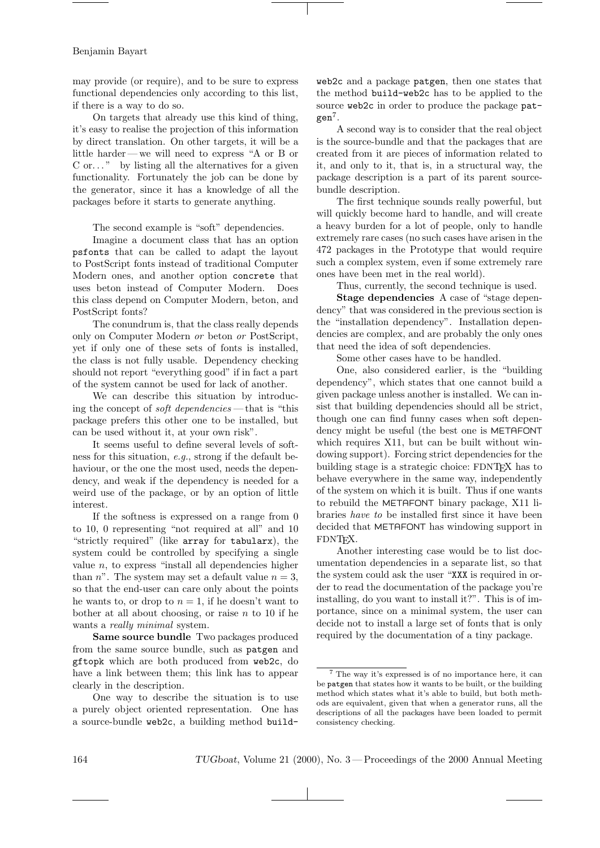may provide (or require), and to be sure to express functional dependencies only according to this list, if there is a way to do so.

On targets that already use this kind of thing, it's easy to realise the projection of this information by direct translation. On other targets, it will be a little harder — we will need to express "A or B or  $C$  or..." by listing all the alternatives for a given functionality. Fortunately the job can be done by the generator, since it has a knowledge of all the packages before it starts to generate anything.

The second example is "soft" dependencies.

Imagine a document class that has an option psfonts that can be called to adapt the layout to PostScript fonts instead of traditional Computer Modern ones, and another option concrete that uses beton instead of Computer Modern. Does this class depend on Computer Modern, beton, and PostScript fonts?

The conundrum is, that the class really depends only on Computer Modern or beton or PostScript, yet if only one of these sets of fonts is installed, the class is not fully usable. Dependency checking should not report "everything good" if in fact a part of the system cannot be used for lack of another.

We can describe this situation by introducing the concept of soft dependencies — that is "this package prefers this other one to be installed, but can be used without it, at your own risk".

It seems useful to define several levels of softness for this situation, e.g., strong if the default behaviour, or the one the most used, needs the dependency, and weak if the dependency is needed for a weird use of the package, or by an option of little interest.

If the softness is expressed on a range from 0 to 10, 0 representing "not required at all" and 10 "strictly required" (like array for tabularx), the system could be controlled by specifying a single value  $n$ , to express "install all dependencies higher than n". The system may set a default value  $n = 3$ , so that the end-user can care only about the points he wants to, or drop to  $n = 1$ , if he doesn't want to bother at all about choosing, or raise  $n$  to 10 if he wants a *really minimal* system.

Same source bundle Two packages produced from the same source bundle, such as patgen and gftopk which are both produced from web2c, do have a link between them; this link has to appear clearly in the description.

One way to describe the situation is to use a purely object oriented representation. One has a source-bundle web2c, a building method buildweb2c and a package patgen, then one states that the method build-web2c has to be applied to the source web2c in order to produce the package pat $gen<sup>7</sup>.$ 

A second way is to consider that the real object is the source-bundle and that the packages that are created from it are pieces of information related to it, and only to it, that is, in a structural way, the package description is a part of its parent sourcebundle description.

The first technique sounds really powerful, but will quickly become hard to handle, and will create a heavy burden for a lot of people, only to handle extremely rare cases (no such cases have arisen in the 472 packages in the Prototype that would require such a complex system, even if some extremely rare ones have been met in the real world).

Thus, currently, the second technique is used.

Stage dependencies A case of "stage dependency" that was considered in the previous section is the "installation dependency". Installation dependencies are complex, and are probably the only ones that need the idea of soft dependencies.

Some other cases have to be handled.

One, also considered earlier, is the "building dependency", which states that one cannot build a given package unless another is installed. We can insist that building dependencies should all be strict, though one can find funny cases when soft dependency might be useful (the best one is METAFONT which requires X11, but can be built without windowing support). Forcing strict dependencies for the building stage is a strategic choice: FDNTEX has to behave everywhere in the same way, independently of the system on which it is built. Thus if one wants to rebuild the METAFONT binary package, X11 libraries have to be installed first since it have been decided that METAFONT has windowing support in FDNTEX.

Another interesting case would be to list documentation dependencies in a separate list, so that the system could ask the user "XXX is required in order to read the documentation of the package you're installing, do you want to install it?". This is of importance, since on a minimal system, the user can decide not to install a large set of fonts that is only required by the documentation of a tiny package.

 $^7$  The way it's expressed is of no importance here, it can be patgen that states how it wants to be built, or the building method which states what it's able to build, but both methods are equivalent, given that when a generator runs, all the descriptions of all the packages have been loaded to permit consistency checking.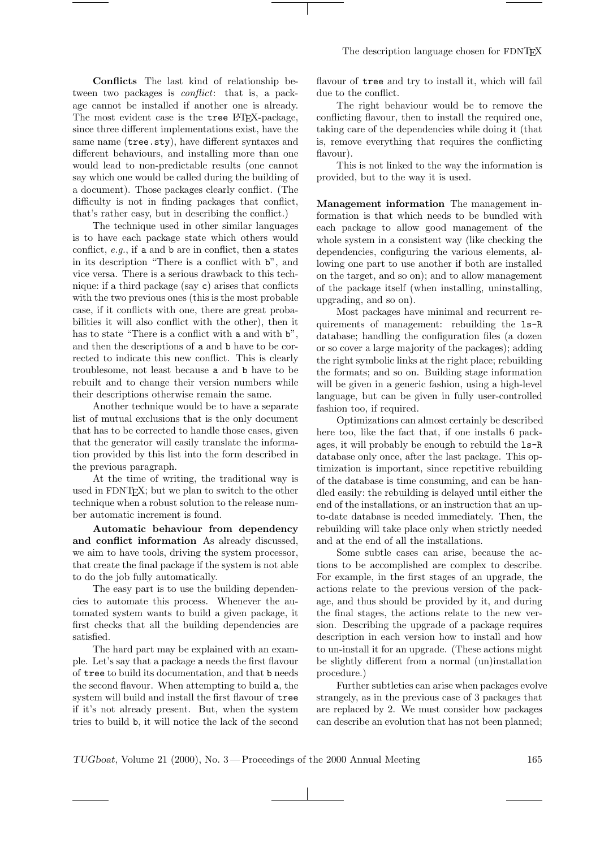Conflicts The last kind of relationship between two packages is *conflict*: that is, a package cannot be installed if another one is already. The most evident case is the tree L<sup>AT</sup>FX-package, since three different implementations exist, have the same name (tree.sty), have different syntaxes and different behaviours, and installing more than one would lead to non-predictable results (one cannot say which one would be called during the building of a document). Those packages clearly conflict. (The difficulty is not in finding packages that conflict, that's rather easy, but in describing the conflict.)

The technique used in other similar languages is to have each package state which others would conflict,  $e.g.,$  if a and b are in conflict, then a states in its description "There is a conflict with b", and vice versa. There is a serious drawback to this technique: if a third package (say c) arises that conflicts with the two previous ones (this is the most probable case, if it conflicts with one, there are great probabilities it will also conflict with the other), then it has to state "There is a conflict with a and with b", and then the descriptions of a and b have to be corrected to indicate this new conflict. This is clearly troublesome, not least because a and b have to be rebuilt and to change their version numbers while their descriptions otherwise remain the same.

Another technique would be to have a separate list of mutual exclusions that is the only document that has to be corrected to handle those cases, given that the generator will easily translate the information provided by this list into the form described in the previous paragraph.

At the time of writing, the traditional way is used in FDNTEX; but we plan to switch to the other technique when a robust solution to the release number automatic increment is found.

Automatic behaviour from dependency and conflict information As already discussed, we aim to have tools, driving the system processor, that create the final package if the system is not able to do the job fully automatically.

The easy part is to use the building dependencies to automate this process. Whenever the automated system wants to build a given package, it first checks that all the building dependencies are satisfied.

The hard part may be explained with an example. Let's say that a package a needs the first flavour of tree to build its documentation, and that b needs the second flavour. When attempting to build a, the system will build and install the first flavour of tree if it's not already present. But, when the system tries to build b, it will notice the lack of the second

flavour of tree and try to install it, which will fail due to the conflict.

The right behaviour would be to remove the conflicting flavour, then to install the required one, taking care of the dependencies while doing it (that is, remove everything that requires the conflicting flavour).

This is not linked to the way the information is provided, but to the way it is used.

Management information The management information is that which needs to be bundled with each package to allow good management of the whole system in a consistent way (like checking the dependencies, configuring the various elements, allowing one part to use another if both are installed on the target, and so on); and to allow management of the package itself (when installing, uninstalling, upgrading, and so on).

Most packages have minimal and recurrent requirements of management: rebuilding the ls-R database; handling the configuration files (a dozen or so cover a large majority of the packages); adding the right symbolic links at the right place; rebuilding the formats; and so on. Building stage information will be given in a generic fashion, using a high-level language, but can be given in fully user-controlled fashion too, if required.

Optimizations can almost certainly be described here too, like the fact that, if one installs 6 packages, it will probably be enough to rebuild the ls-R database only once, after the last package. This optimization is important, since repetitive rebuilding of the database is time consuming, and can be handled easily: the rebuilding is delayed until either the end of the installations, or an instruction that an upto-date database is needed immediately. Then, the rebuilding will take place only when strictly needed and at the end of all the installations.

Some subtle cases can arise, because the actions to be accomplished are complex to describe. For example, in the first stages of an upgrade, the actions relate to the previous version of the package, and thus should be provided by it, and during the final stages, the actions relate to the new version. Describing the upgrade of a package requires description in each version how to install and how to un-install it for an upgrade. (These actions might be slightly different from a normal (un)installation procedure.)

Further subtleties can arise when packages evolve strangely, as in the previous case of 3 packages that are replaced by 2. We must consider how packages can describe an evolution that has not been planned;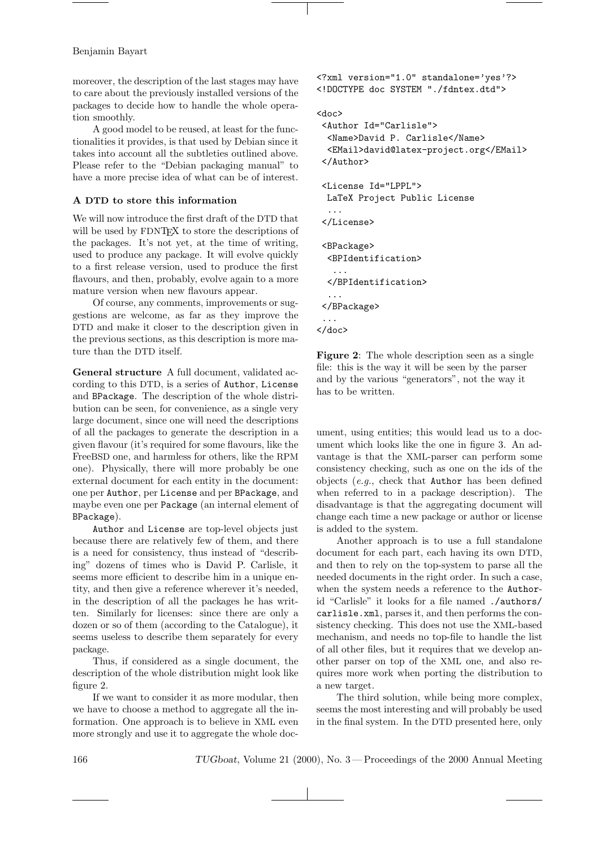moreover, the description of the last stages may have to care about the previously installed versions of the packages to decide how to handle the whole operation smoothly.

A good model to be reused, at least for the functionalities it provides, is that used by Debian since it takes into account all the subtleties outlined above. Please refer to the "Debian packaging manual" to have a more precise idea of what can be of interest.

## A DTD to store this information

We will now introduce the first draft of the DTD that will be used by FDNT<sub>F</sub>X to store the descriptions of the packages. It's not yet, at the time of writing, used to produce any package. It will evolve quickly to a first release version, used to produce the first flavours, and then, probably, evolve again to a more mature version when new flavours appear.

Of course, any comments, improvements or suggestions are welcome, as far as they improve the DTD and make it closer to the description given in the previous sections, as this description is more mature than the DTD itself.

General structure A full document, validated according to this DTD, is a series of Author, License and BPackage. The description of the whole distribution can be seen, for convenience, as a single very large document, since one will need the descriptions of all the packages to generate the description in a given flavour (it's required for some flavours, like the FreeBSD one, and harmless for others, like the RPM one). Physically, there will more probably be one external document for each entity in the document: one per Author, per License and per BPackage, and maybe even one per Package (an internal element of BPackage).

Author and License are top-level objects just because there are relatively few of them, and there is a need for consistency, thus instead of "describing" dozens of times who is David P. Carlisle, it seems more efficient to describe him in a unique entity, and then give a reference wherever it's needed, in the description of all the packages he has written. Similarly for licenses: since there are only a dozen or so of them (according to the Catalogue), it seems useless to describe them separately for every package.

Thus, if considered as a single document, the description of the whole distribution might look like figure 2.

If we want to consider it as more modular, then we have to choose a method to aggregate all the information. One approach is to believe in XML even more strongly and use it to aggregate the whole doc<?xml version="1.0" standalone='yes'?> <!DOCTYPE doc SYSTEM "./fdntex.dtd">

## <doc>

```
<Author Id="Carlisle">
  <Name>David P. Carlisle</Name>
  <EMail>david@latex-project.org</EMail>
 </Author>
 <License Id="LPPL">
 LaTeX Project Public License
  ...
 </License>
 <BPackage>
  <BPIdentification>
   ...
  </BPIdentification>
  ...
 </BPackage>
 ...
</doc>
```
Figure 2: The whole description seen as a single file: this is the way it will be seen by the parser and by the various "generators", not the way it has to be written.

ument, using entities; this would lead us to a document which looks like the one in figure 3. An advantage is that the XML-parser can perform some consistency checking, such as one on the ids of the objects (e.g., check that Author has been defined when referred to in a package description). The disadvantage is that the aggregating document will change each time a new package or author or license is added to the system.

Another approach is to use a full standalone document for each part, each having its own DTD, and then to rely on the top-system to parse all the needed documents in the right order. In such a case, when the system needs a reference to the Authorid "Carlisle" it looks for a file named ./authors/ carlisle.xml, parses it, and then performs the consistency checking. This does not use the XML-based mechanism, and needs no top-file to handle the list of all other files, but it requires that we develop another parser on top of the XML one, and also requires more work when porting the distribution to a new target.

The third solution, while being more complex, seems the most interesting and will probably be used in the final system. In the DTD presented here, only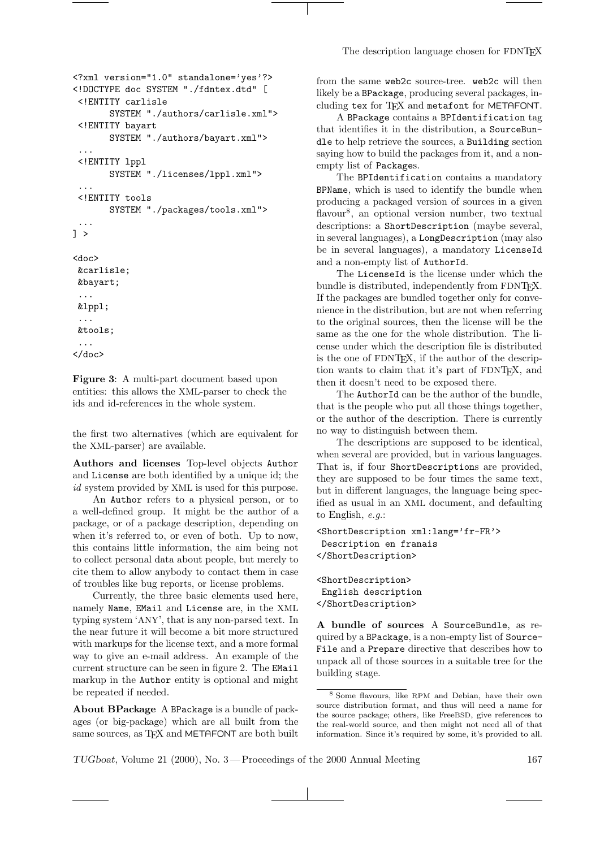The description language chosen for FDNT<sub>EX</sub>

```
<?xml version="1.0" standalone='yes'?>
<!DOCTYPE doc SYSTEM "./fdntex.dtd" [
 <!ENTITY carlisle
       SYSTEM "./authors/carlisle.xml">
 <!ENTITY bayart
       SYSTEM "./authors/bayart.xml">
 ...
 <!ENTITY lppl
       SYSTEM "./licenses/lppl.xml">
 ...
 <!ENTITY tools
       SYSTEM "./packages/tools.xml">
 ...
] >
<doc>
 &carlisle;
&bayart;
 ...
 &lppl;
 ...
 &tools;
 ...
</doc>
```
Figure 3: A multi-part document based upon entities: this allows the XML-parser to check the ids and id-references in the whole system.

the first two alternatives (which are equivalent for the XML-parser) are available.

Authors and licenses Top-level objects Author and License are both identified by a unique id; the id system provided by XML is used for this purpose.

An Author refers to a physical person, or to a well-defined group. It might be the author of a package, or of a package description, depending on when it's referred to, or even of both. Up to now, this contains little information, the aim being not to collect personal data about people, but merely to cite them to allow anybody to contact them in case of troubles like bug reports, or license problems.

Currently, the three basic elements used here, namely Name, EMail and License are, in the XML typing system 'ANY', that is any non-parsed text. In the near future it will become a bit more structured with markups for the license text, and a more formal way to give an e-mail address. An example of the current structure can be seen in figure 2. The EMail markup in the Author entity is optional and might be repeated if needed.

About BPackage A BPackage is a bundle of packages (or big-package) which are all built from the same sources, as TFX and METAFONT are both built from the same web2c source-tree. web2c will then likely be a BPackage, producing several packages, including tex for TFX and metafont for METAFONT.

A BPackage contains a BPIdentification tag that identifies it in the distribution, a SourceBundle to help retrieve the sources, a Building section saying how to build the packages from it, and a nonempty list of Packages.

The BPIdentification contains a mandatory BPName, which is used to identify the bundle when producing a packaged version of sources in a given flavour<sup>8</sup>, an optional version number, two textual descriptions: a ShortDescription (maybe several, in several languages), a LongDescription (may also be in several languages), a mandatory LicenseId and a non-empty list of AuthorId.

The LicenseId is the license under which the bundle is distributed, independently from FDNTFX. If the packages are bundled together only for convenience in the distribution, but are not when referring to the original sources, then the license will be the same as the one for the whole distribution. The license under which the description file is distributed is the one of FDNTEX, if the author of the description wants to claim that it's part of FDNTEX, and then it doesn't need to be exposed there.

The AuthorId can be the author of the bundle, that is the people who put all those things together, or the author of the description. There is currently no way to distinguish between them.

The descriptions are supposed to be identical, when several are provided, but in various languages. That is, if four ShortDescriptions are provided, they are supposed to be four times the same text, but in different languages, the language being specified as usual in an XML document, and defaulting to English, e.g.:

```
<ShortDescription xml:lang='fr-FR'>
Description en franais
</ShortDescription>
```
<ShortDescription> English description </ShortDescription>

A bundle of sources A SourceBundle, as required by a BPackage, is a non-empty list of Source-File and a Prepare directive that describes how to unpack all of those sources in a suitable tree for the building stage.

<sup>8</sup> Some flavours, like RPM and Debian, have their own source distribution format, and thus will need a name for the source package; others, like FreeBSD, give references to the real-world source, and then might not need all of that information. Since it's required by some, it's provided to all.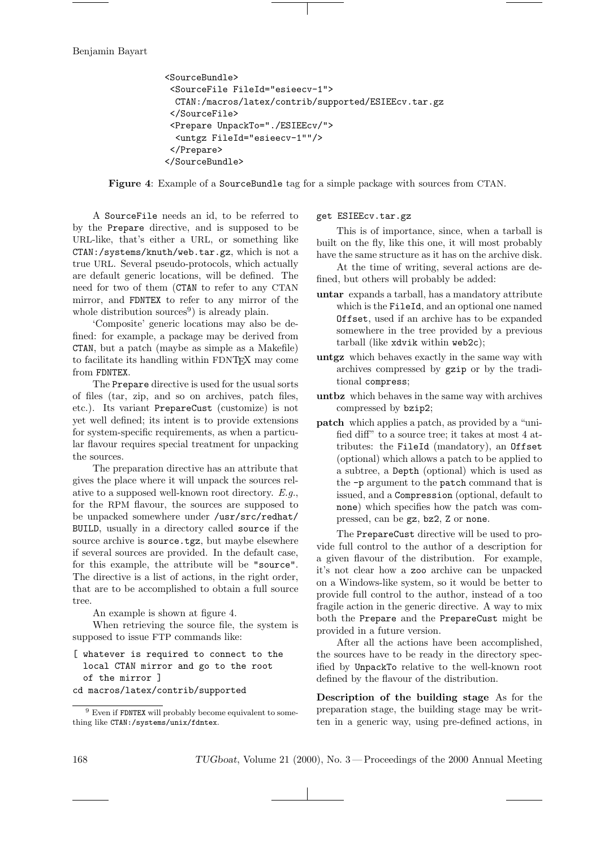```
<SourceBundle>
 <SourceFile FileId="esieecv-1">
 CTAN:/macros/latex/contrib/supported/ESIEEcv.tar.gz
 </SourceFile>
 <Prepare UnpackTo="./ESIEEcv/">
 <untgz FileId="esieecv-1""/>
 </Prepare>
</SourceBundle>
```
Figure 4: Example of a SourceBundle tag for a simple package with sources from CTAN.

A SourceFile needs an id, to be referred to by the Prepare directive, and is supposed to be URL-like, that's either a URL, or something like CTAN:/systems/knuth/web.tar.gz, which is not a true URL. Several pseudo-protocols, which actually are default generic locations, will be defined. The need for two of them (CTAN to refer to any CTAN mirror, and FDNTEX to refer to any mirror of the whole distribution sources<sup>9</sup>) is already plain.

'Composite' generic locations may also be defined: for example, a package may be derived from CTAN, but a patch (maybe as simple as a Makefile) to facilitate its handling within FDNTEX may come from FDNTEX.

The Prepare directive is used for the usual sorts of files (tar, zip, and so on archives, patch files, etc.). Its variant PrepareCust (customize) is not yet well defined; its intent is to provide extensions for system-specific requirements, as when a particular flavour requires special treatment for unpacking the sources.

The preparation directive has an attribute that gives the place where it will unpack the sources relative to a supposed well-known root directory. E.g., for the RPM flavour, the sources are supposed to be unpacked somewhere under /usr/src/redhat/ BUILD, usually in a directory called source if the source archive is source.tgz, but maybe elsewhere if several sources are provided. In the default case, for this example, the attribute will be "source". The directive is a list of actions, in the right order, that are to be accomplished to obtain a full source tree.

An example is shown at figure 4.

When retrieving the source file, the system is supposed to issue FTP commands like:

- [ whatever is required to connect to the local CTAN mirror and go to the root of the mirror ]
- cd macros/latex/contrib/supported

# get ESIEEcv.tar.gz

This is of importance, since, when a tarball is built on the fly, like this one, it will most probably have the same structure as it has on the archive disk.

At the time of writing, several actions are defined, but others will probably be added:

- untar expands a tarball, has a mandatory attribute which is the FileId, and an optional one named Offset, used if an archive has to be expanded somewhere in the tree provided by a previous tarball (like xdvik within web2c);
- untgz which behaves exactly in the same way with archives compressed by gzip or by the traditional compress;
- untbz which behaves in the same way with archives compressed by bzip2;
- patch which applies a patch, as provided by a "unified diff" to a source tree; it takes at most 4 attributes: the FileId (mandatory), an Offset (optional) which allows a patch to be applied to a subtree, a Depth (optional) which is used as the -p argument to the patch command that is issued, and a Compression (optional, default to none) which specifies how the patch was compressed, can be gz, bz2, Z or none.

The PrepareCust directive will be used to provide full control to the author of a description for a given flavour of the distribution. For example, it's not clear how a zoo archive can be unpacked on a Windows-like system, so it would be better to provide full control to the author, instead of a too fragile action in the generic directive. A way to mix both the Prepare and the PrepareCust might be provided in a future version.

After all the actions have been accomplished, the sources have to be ready in the directory specified by UnpackTo relative to the well-known root defined by the flavour of the distribution.

Description of the building stage As for the preparation stage, the building stage may be written in a generic way, using pre-defined actions, in

<sup>9</sup> Even if FDNTEX will probably become equivalent to something like CTAN:/systems/unix/fdntex.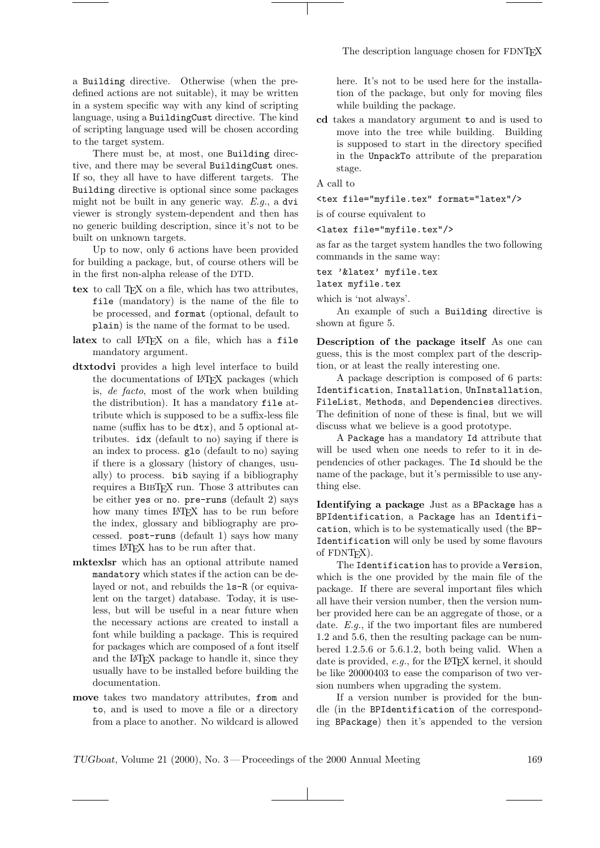a Building directive. Otherwise (when the predefined actions are not suitable), it may be written in a system specific way with any kind of scripting language, using a BuildingCust directive. The kind of scripting language used will be chosen according to the target system.

There must be, at most, one Building directive, and there may be several BuildingCust ones. If so, they all have to have different targets. The Building directive is optional since some packages might not be built in any generic way. E.g., a dvi viewer is strongly system-dependent and then has no generic building description, since it's not to be built on unknown targets.

Up to now, only 6 actions have been provided for building a package, but, of course others will be in the first non-alpha release of the DTD.

- tex to call TEX on a file, which has two attributes, file (mandatory) is the name of the file to be processed, and format (optional, default to plain) is the name of the format to be used.
- latex to call LATFX on a file, which has a file mandatory argument.
- dtxtodvi provides a high level interface to build the documentations of LATEX packages (which is, de facto, most of the work when building the distribution). It has a mandatory file attribute which is supposed to be a suffix-less file name (suffix has to be dtx), and 5 optional attributes. idx (default to no) saying if there is an index to process. glo (default to no) saying if there is a glossary (history of changes, usually) to process. bib saying if a bibliography requires a BIBTEX run. Those 3 attributes can be either yes or no. pre-runs (default 2) says how many times LATEX has to be run before the index, glossary and bibliography are processed. post-runs (default 1) says how many times LAT<sub>EX</sub> has to be run after that.
- mktexlsr which has an optional attribute named mandatory which states if the action can be delayed or not, and rebuilds the ls-R (or equivalent on the target) database. Today, it is useless, but will be useful in a near future when the necessary actions are created to install a font while building a package. This is required for packages which are composed of a font itself and the LATEX package to handle it, since they usually have to be installed before building the documentation.
- move takes two mandatory attributes, from and to, and is used to move a file or a directory from a place to another. No wildcard is allowed

here. It's not to be used here for the installation of the package, but only for moving files while building the package.

cd takes a mandatory argument to and is used to move into the tree while building. Building is supposed to start in the directory specified in the UnpackTo attribute of the preparation stage.

A call to

<tex file="myfile.tex" format="latex"/>

is of course equivalent to

<latex file="myfile.tex"/>

as far as the target system handles the two following commands in the same way:

tex '&latex' myfile.tex latex myfile.tex

which is 'not always'.

An example of such a Building directive is shown at figure 5.

Description of the package itself As one can guess, this is the most complex part of the description, or at least the really interesting one.

A package description is composed of 6 parts: Identification, Installation, UnInstallation, FileList, Methods, and Dependencies directives. The definition of none of these is final, but we will discuss what we believe is a good prototype.

A Package has a mandatory Id attribute that will be used when one needs to refer to it in dependencies of other packages. The Id should be the name of the package, but it's permissible to use anything else.

Identifying a package Just as a BPackage has a BPIdentification, a Package has an Identification, which is to be systematically used (the BP-Identification will only be used by some flavours of FDNT<sub>F</sub>X).

The Identification has to provide a Version, which is the one provided by the main file of the package. If there are several important files which all have their version number, then the version number provided here can be an aggregate of those, or a date. E.g., if the two important files are numbered 1.2 and 5.6, then the resulting package can be numbered 1.2.5.6 or 5.6.1.2, both being valid. When a date is provided,  $e.g.,$  for the LAT<sub>EX</sub> kernel, it should be like 20000403 to ease the comparison of two version numbers when upgrading the system.

If a version number is provided for the bundle (in the BPIdentification of the corresponding BPackage) then it's appended to the version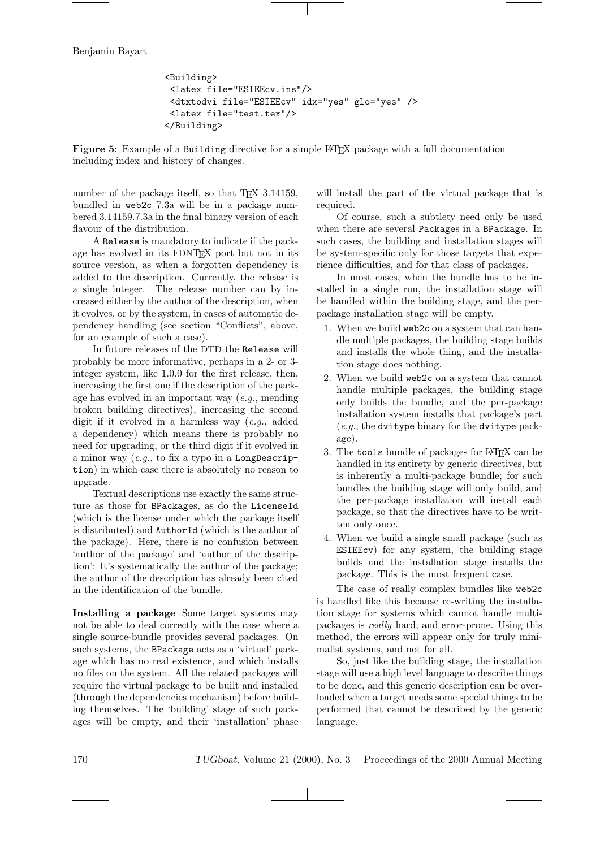```
<Building>
 <latex file="ESIEEcv.ins"/>
 <dtxtodvi file="ESIEEcv" idx="yes" glo="yes" />
 <latex file="test.tex"/>
</Building>
```
Figure 5: Example of a Building directive for a simple LATEX package with a full documentation including index and history of changes.

number of the package itself, so that TEX 3.14159, bundled in web2c 7.3a will be in a package numbered 3.14159.7.3a in the final binary version of each flavour of the distribution.

A Release is mandatory to indicate if the package has evolved in its FDNTEX port but not in its source version, as when a forgotten dependency is added to the description. Currently, the release is a single integer. The release number can by increased either by the author of the description, when it evolves, or by the system, in cases of automatic dependency handling (see section "Conflicts", above, for an example of such a case).

In future releases of the DTD the Release will probably be more informative, perhaps in a 2- or 3 integer system, like 1.0.0 for the first release, then, increasing the first one if the description of the package has evolved in an important way  $(e.g., \text{ mending})$ broken building directives), increasing the second digit if it evolved in a harmless way (e.g., added a dependency) which means there is probably no need for upgrading, or the third digit if it evolved in a minor way (e.g., to fix a typo in a LongDescription) in which case there is absolutely no reason to upgrade.

Textual descriptions use exactly the same structure as those for BPackages, as do the LicenseId (which is the license under which the package itself is distributed) and AuthorId (which is the author of the package). Here, there is no confusion between 'author of the package' and 'author of the description': It's systematically the author of the package; the author of the description has already been cited in the identification of the bundle.

Installing a package Some target systems may not be able to deal correctly with the case where a single source-bundle provides several packages. On such systems, the BPackage acts as a 'virtual' package which has no real existence, and which installs no files on the system. All the related packages will require the virtual package to be built and installed (through the dependencies mechanism) before building themselves. The 'building' stage of such packages will be empty, and their 'installation' phase will install the part of the virtual package that is required.

Of course, such a subtlety need only be used when there are several Packages in a BPackage. In such cases, the building and installation stages will be system-specific only for those targets that experience difficulties, and for that class of packages.

In most cases, when the bundle has to be installed in a single run, the installation stage will be handled within the building stage, and the perpackage installation stage will be empty.

- 1. When we build web2c on a system that can handle multiple packages, the building stage builds and installs the whole thing, and the installation stage does nothing.
- 2. When we build web2c on a system that cannot handle multiple packages, the building stage only builds the bundle, and the per-package installation system installs that package's part  $(e.g., the \text{ dvitype binary} for the \text{ dvitype pack-}$ age).
- 3. The tools bundle of packages for LAT<sub>EX</sub> can be handled in its entirety by generic directives, but is inherently a multi-package bundle; for such bundles the building stage will only build, and the per-package installation will install each package, so that the directives have to be written only once.
- 4. When we build a single small package (such as ESIEEcv) for any system, the building stage builds and the installation stage installs the package. This is the most frequent case.

The case of really complex bundles like web2c is handled like this because re-writing the installation stage for systems which cannot handle multipackages is really hard, and error-prone. Using this method, the errors will appear only for truly minimalist systems, and not for all.

So, just like the building stage, the installation stage will use a high level language to describe things to be done, and this generic description can be overloaded when a target needs some special things to be performed that cannot be described by the generic language.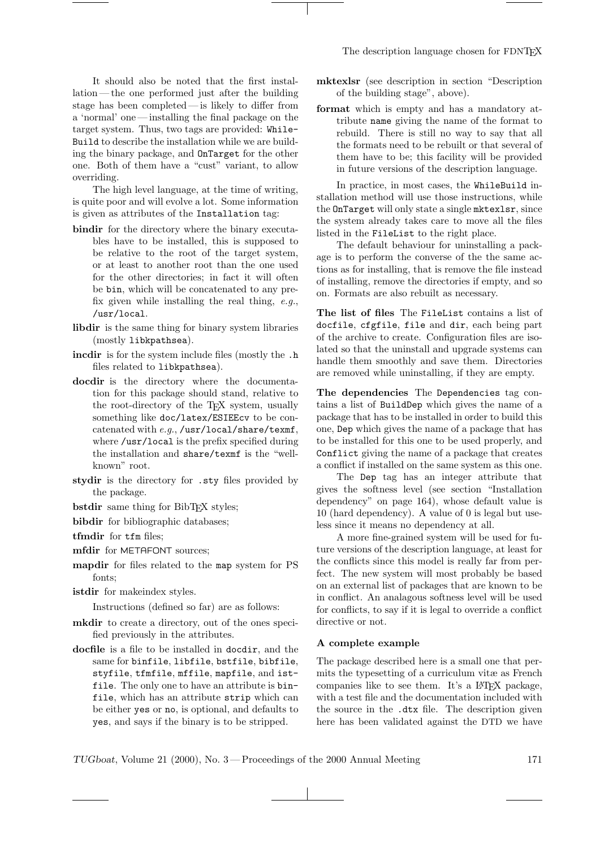It should also be noted that the first installation — the one performed just after the building stage has been completed— is likely to differ from a 'normal' one — installing the final package on the target system. Thus, two tags are provided: While-Build to describe the installation while we are building the binary package, and OnTarget for the other one. Both of them have a "cust" variant, to allow overriding.

The high level language, at the time of writing, is quite poor and will evolve a lot. Some information is given as attributes of the Installation tag:

- bindir for the directory where the binary executables have to be installed, this is supposed to be relative to the root of the target system, or at least to another root than the one used for the other directories; in fact it will often be bin, which will be concatenated to any prefix given while installing the real thing,  $e.g.,$ /usr/local.
- libdir is the same thing for binary system libraries (mostly libkpathsea).
- incdir is for the system include files (mostly the .h files related to libkpathsea).
- docdir is the directory where the documentation for this package should stand, relative to the root-directory of the TEX system, usually something like doc/latex/ESIEEcv to be concatenated with e.g., /usr/local/share/texmf, where /usr/local is the prefix specified during the installation and share/texmf is the "wellknown" root.
- stydir is the directory for .sty files provided by the package.
- bstdir same thing for BibTEX styles;
- bibdir for bibliographic databases;
- tfmdir for tfm files;
- mfdir for METAFONT sources;
- mapdir for files related to the map system for PS fonts;
- istdir for makeindex styles.

Instructions (defined so far) are as follows:

- mkdir to create a directory, out of the ones specified previously in the attributes.
- docfile is a file to be installed in docdir, and the same for binfile, libfile, bstfile, bibfile, styfile, tfmfile, mffile, mapfile, and istfile. The only one to have an attribute is binfile, which has an attribute strip which can be either yes or no, is optional, and defaults to yes, and says if the binary is to be stripped.
- mktexlsr (see description in section "Description of the building stage", above).
- format which is empty and has a mandatory attribute name giving the name of the format to rebuild. There is still no way to say that all the formats need to be rebuilt or that several of them have to be; this facility will be provided in future versions of the description language.

In practice, in most cases, the WhileBuild installation method will use those instructions, while the OnTarget will only state a single mktexlsr, since the system already takes care to move all the files listed in the FileList to the right place.

The default behaviour for uninstalling a package is to perform the converse of the the same actions as for installing, that is remove the file instead of installing, remove the directories if empty, and so on. Formats are also rebuilt as necessary.

The list of files The FileList contains a list of docfile, cfgfile, file and dir, each being part of the archive to create. Configuration files are isolated so that the uninstall and upgrade systems can handle them smoothly and save them. Directories are removed while uninstalling, if they are empty.

The dependencies The Dependencies tag contains a list of BuildDep which gives the name of a package that has to be installed in order to build this one, Dep which gives the name of a package that has to be installed for this one to be used properly, and Conflict giving the name of a package that creates a conflict if installed on the same system as this one.

The Dep tag has an integer attribute that gives the softness level (see section "Installation dependency" on page 164), whose default value is 10 (hard dependency). A value of 0 is legal but useless since it means no dependency at all.

A more fine-grained system will be used for future versions of the description language, at least for the conflicts since this model is really far from perfect. The new system will most probably be based on an external list of packages that are known to be in conflict. An analagous softness level will be used for conflicts, to say if it is legal to override a conflict directive or not.

#### A complete example

The package described here is a small one that permits the typesetting of a curriculum vitæ as French companies like to see them. It's a LATEX package, with a test file and the documentation included with the source in the .dtx file. The description given here has been validated against the DTD we have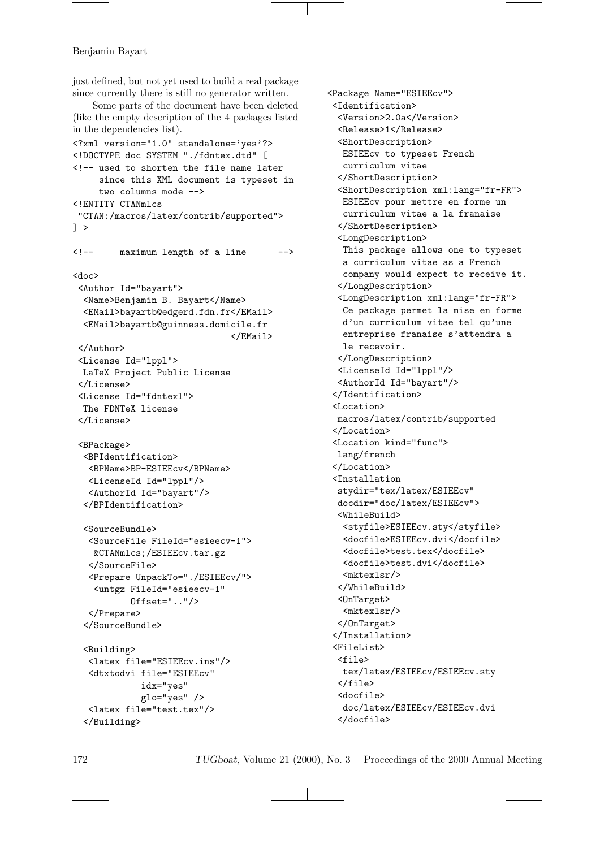just defined, but not yet used to build a real package since currently there is still no generator written. Some parts of the document have been deleted (like the empty description of the 4 packages listed in the dependencies list). <?xml version="1.0" standalone='yes'?> <!DOCTYPE doc SYSTEM "./fdntex.dtd" [ <!-- used to shorten the file name later since this XML document is typeset in two columns mode --> <!ENTITY CTANmlcs "CTAN:/macros/latex/contrib/supported"> ] > <!-- maximum length of a line --> <doc> <Author Id="bayart"> <Name>Benjamin B. Bayart</Name> <EMail>bayartb@edgerd.fdn.fr</EMail> <EMail>bayartb@guinness.domicile.fr </EMail> </Author> <License Id="lppl"> LaTeX Project Public License </License> <License Id="fdntexl"> The FDNTeX license </License> <BPackage> <BPIdentification> <BPName>BP-ESIEEcv</BPName> <LicenseId Id="lppl"/> <AuthorId Id="bayart"/> </BPIdentification> <SourceBundle> <SourceFile FileId="esieecv-1"> &CTANmlcs;/ESIEEcv.tar.gz </SourceFile> <Prepare UnpackTo="./ESIEEcv/"> <untgz FileId="esieecv-1" Offset=".."/> </Prepare> </SourceBundle> <Building> <latex file="ESIEEcv.ins"/> <dtxtodvi file="ESIEEcv" idx="yes" glo="yes" /> <latex file="test.tex"/> </Building>

<Package Name="ESIEEcv"> <Identification> <Version>2.0a</Version> <Release>1</Release> <ShortDescription> ESIEEcv to typeset French curriculum vitae </ShortDescription> <ShortDescription xml:lang="fr-FR"> ESIEEcv pour mettre en forme un curriculum vitae a la franaise </ShortDescription> <LongDescription> This package allows one to typeset a curriculum vitae as a French company would expect to receive it. </LongDescription> <LongDescription xml:lang="fr-FR"> Ce package permet la mise en forme d'un curriculum vitae tel qu'une entreprise franaise s'attendra a le recevoir. </LongDescription> <LicenseId Id="lppl"/> <AuthorId Id="bayart"/> </Identification> <Location> macros/latex/contrib/supported </Location> <Location kind="func"> lang/french </Location> <Installation stydir="tex/latex/ESIEEcv" docdir="doc/latex/ESIEEcv"> <WhileBuild> <styfile>ESIEEcv.sty</styfile> <docfile>ESIEEcv.dvi</docfile> <docfile>test.tex</docfile> <docfile>test.dvi</docfile> <mktexlsr/> </WhileBuild> <OnTarget> <mktexlsr/> </OnTarget> </Installation> <FileList> <file> tex/latex/ESIEEcv/ESIEEcv.sty </file> <docfile> doc/latex/ESIEEcv/ESIEEcv.dvi </docfile>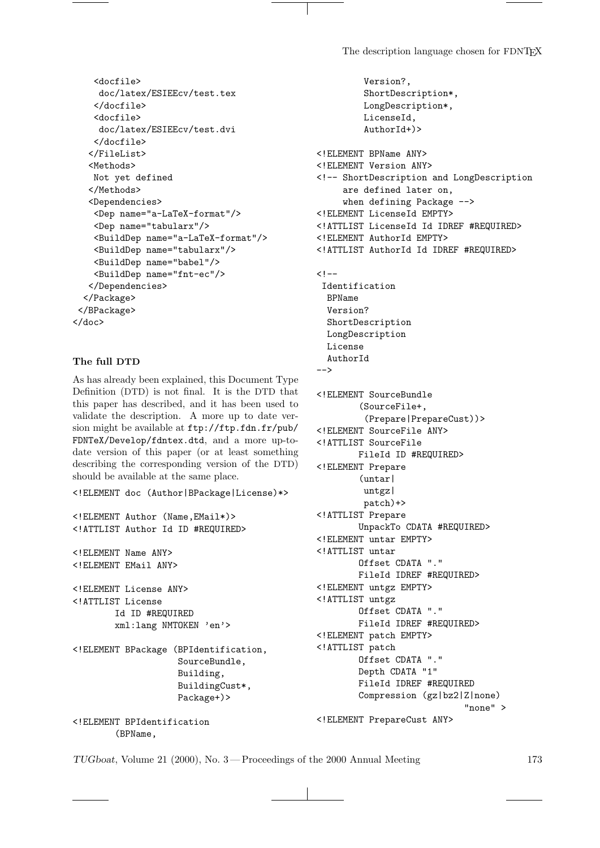Version?,

ShortDescription\*,

```
<docfile>
     doc/latex/ESIEEcv/test.tex
    </docfile>
    <docfile>
     doc/latex/ESIEEcv/test.dvi
    </docfile>
  </FileList>
  <Methods>
   Not yet defined
  </Methods>
  <Dependencies>
    <Dep name="a-LaTeX-format"/>
    <Dep name="tabularx"/>
    <BuildDep name="a-LaTeX-format"/>
    <BuildDep name="tabularx"/>
    <BuildDep name="babel"/>
    <BuildDep name="fnt-ec"/>
  </Dependencies>
 </Package>
 </BPackage>
</doc>
```
## The full DTD

As has already been explained, this Document Type Definition (DTD) is not final. It is the DTD that this paper has described, and it has been used to validate the description. A more up to date version might be available at ftp://ftp.fdn.fr/pub/ FDNTeX/Develop/fdntex.dtd, and a more up-todate version of this paper (or at least something describing the corresponding version of the DTD) should be available at the same place.

<!ELEMENT doc (Author|BPackage|License)\*>

```
<!ELEMENT Author (Name,EMail*)>
<!ATTLIST Author Id ID #REQUIRED>
<!ELEMENT Name ANY>
<!ELEMENT EMail ANY>
<!ELEMENT License ANY>
<!ATTLIST License
        Id ID #REQUIRED
        xml:lang NMTOKEN 'en'>
<!ELEMENT BPackage (BPIdentification,
                    SourceBundle,
                    Building,
                    BuildingCust*,
                    Package+)>
<!ELEMENT BPIdentification
```
(BPName,

LongDescription\*, LicenseId, AuthorId+)> <!ELEMENT BPName ANY> <!ELEMENT Version ANY> <!-- ShortDescription and LongDescription are defined later on, when defining Package --> <!ELEMENT LicenseId EMPTY> <!ATTLIST LicenseId Id IDREF #REQUIRED> <!ELEMENT AuthorId EMPTY> <!ATTLIST AuthorId Id IDREF #REQUIRED>  $$ Identification BPName Version? ShortDescription LongDescription License AuthorId --> <!ELEMENT SourceBundle (SourceFile+, (Prepare|PrepareCust))> <!ELEMENT SourceFile ANY> <!ATTLIST SourceFile FileId ID #REQUIRED> <!ELEMENT Prepare (untar| untgz| patch)+> <!ATTLIST Prepare UnpackTo CDATA #REQUIRED> <!ELEMENT untar EMPTY> <!ATTLIST untar Offset CDATA "." FileId IDREF #REQUIRED> <!ELEMENT untgz EMPTY> <!ATTLIST untgz Offset CDATA "." FileId IDREF #REQUIRED> <!ELEMENT patch EMPTY> <!ATTLIST patch Offset CDATA "." Depth CDATA "1" FileId IDREF #REQUIRED Compression (gz|bz2|Z|none) "none" > <!ELEMENT PrepareCust ANY>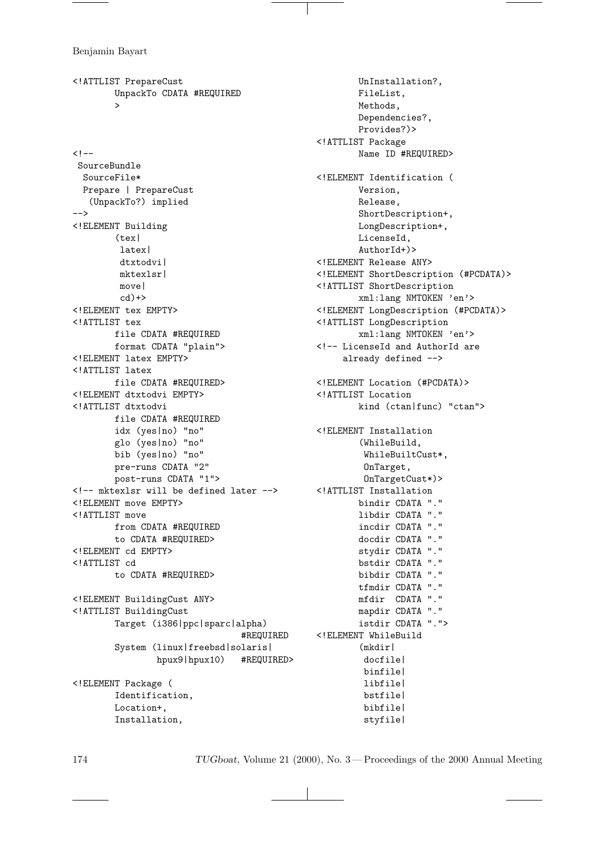<!ATTLIST PrepareCust UnpackTo CDATA #REQUIRED >  $< !--$ SourceBundle SourceFile\* Prepare | PrepareCust (UnpackTo?) implied --> <!ELEMENT Building (tex| latex| dtxtodvi| mktexlsr| move|  $cd$  $\rightarrow$ <!ELEMENT tex EMPTY> <!ATTLIST tex file CDATA #REQUIRED format CDATA "plain"> <!ELEMENT latex EMPTY> <!ATTLIST latex file CDATA #REQUIRED> <!ELEMENT dtxtodvi EMPTY> <!ATTLIST dtxtodvi file CDATA #REQUIRED idx (yes|no) "no" glo (yes|no) "no" bib (yes|no) "no" pre-runs CDATA "2" post-runs CDATA "1"> <!-- mktexlsr will be defined later --> <!ELEMENT move EMPTY> <!ATTLIST move from CDATA #REQUIRED to CDATA #REQUIRED> <!ELEMENT cd EMPTY> <!ATTLIST cd to CDATA #REQUIRED> <!ELEMENT BuildingCust ANY> <!ATTLIST BuildingCust Target (i386|ppc|sparc|alpha) #REQUIRED System (linux|freebsd|solaris| hpux9|hpux10) #REQUIRED> <!ELEMENT Package ( Identification, Location+, Installation,

UnInstallation?, FileList, Methods, Dependencies?, Provides?)> <!ATTLIST Package Name ID #REQUIRED> <!ELEMENT Identification ( Version, Release, ShortDescription+, LongDescription+, LicenseId, AuthorId+)> <!ELEMENT Release ANY> <!ELEMENT ShortDescription (#PCDATA)> <!ATTLIST ShortDescription xml:lang NMTOKEN 'en'> <!ELEMENT LongDescription (#PCDATA)> <!ATTLIST LongDescription xml:lang NMTOKEN 'en'> <!-- LicenseId and AuthorId are already defined --> <!ELEMENT Location (#PCDATA)> <!ATTLIST Location kind (ctan|func) "ctan"> <!ELEMENT Installation (WhileBuild, WhileBuiltCust\*, OnTarget, OnTargetCust\*)> <!ATTLIST Installation bindir CDATA "." libdir CDATA "." incdir CDATA "." docdir CDATA "." stydir CDATA "." bstdir CDATA "." bibdir CDATA "." tfmdir CDATA "." mfdir CDATA "." mapdir CDATA "." istdir CDATA "."> <!ELEMENT WhileBuild (mkdir| docfile| binfile| libfile| bstfile| bibfile| styfile|

174 TUGboat, Volume 21 (2000), No. 3 — Proceedings of the 2000 Annual Meeting

and the control of the con-